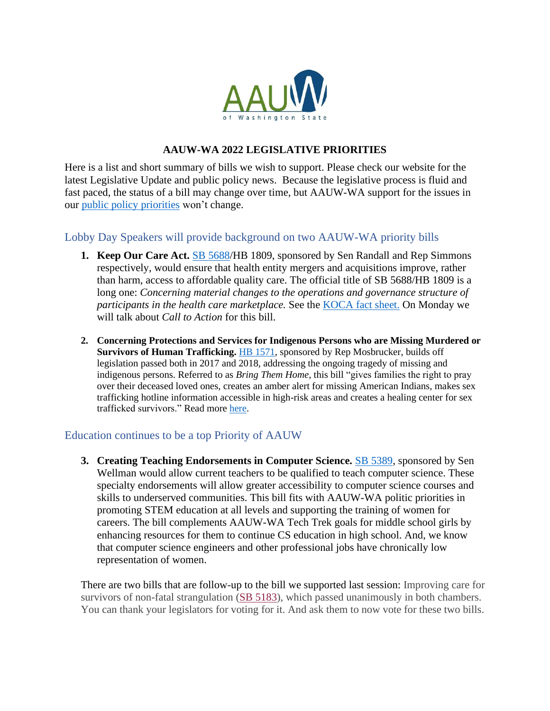

# **AAUW-WA 2022 LEGISLATIVE PRIORITIES**

Here is a list and short summary of bills we wish to support. Please check our website for the latest Legislative Update and public policy news. Because the legislative process is fluid and fast paced, the status of a bill may change over time, but AAUW-WA support for the issues in our [public policy priorities](https://aauw-wa.aauw.net/advocacy/issues/) won't change.

# Lobby Day Speakers will provide background on two AAUW-WA priority bills

- **1. Keep Our Care Act.** [SB 5688/](https://app.leg.wa.gov/billsummary?BillNumber=5688&Chamber=Senate&Year=2021)HB 1809, sponsored by Sen Randall and Rep Simmons respectively, would ensure that health entity mergers and acquisitions improve, rather than harm, access to affordable quality care. The official title of SB 5688/HB 1809 is a long one: *Concerning material changes to the operations and governance structure of participants in the health care marketplace.* See the [KOCA fact sheet.](https://www.aclu-wa.org/docs/keep-our-care-act-info-sheet) On Monday we will talk about *Call to Action* for this bill.
- **2. Concerning Protections and Services for Indigenous Persons who are Missing Murdered or Survivors of Human Trafficking.** [HB 1571,](https://app.leg.wa.gov/billsummary?BillNumber=1571&Year=2021&Initiative=false) sponsored by Rep Mosbrucker, builds off legislation passed both in 2017 and 2018, addressing the ongoing tragedy of missing and indigenous persons. Referred to as *Bring Them Home*, this bill "gives families the right to pray over their deceased loved ones, creates an amber alert for missing American Indians, makes sex trafficking hotline information accessible in high-risk areas and creates a healing center for sex trafficked survivors." Read more [here.](https://lawfilesext.leg.wa.gov/biennium/2021-22/Pdf/Bill%20Reports/House/1571%20HBA%20PS%2022.pdf?q=20220119144820)

## Education continues to be a top Priority of AAUW

**3. Creating Teaching Endorsements in Computer Science.** [SB 5389,](https://app.leg.wa.gov/billsummary?BillNumber=5389&Year=2021&Initiative=false) sponsored by Sen Wellman would allow current teachers to be qualified to teach computer science. These specialty endorsements will allow greater accessibility to computer science courses and skills to underserved communities. This bill fits with AAUW-WA politic priorities in promoting STEM education at all levels and supporting the training of women for careers. The bill complements AAUW-WA Tech Trek goals for middle school girls by enhancing resources for them to continue CS education in high school. And, we know that computer science engineers and other professional jobs have chronically low representation of women.

There are two bills that are follow-up to the bill we supported last session: Improving care for survivors of non-fatal strangulation (SB [5183\)](https://app.leg.wa.gov/billsummary?BillNumber=5183&Initiative=false&Year=2021), which passed unanimously in both chambers. You can thank your legislators for voting for it. And ask them to now vote for these two bills.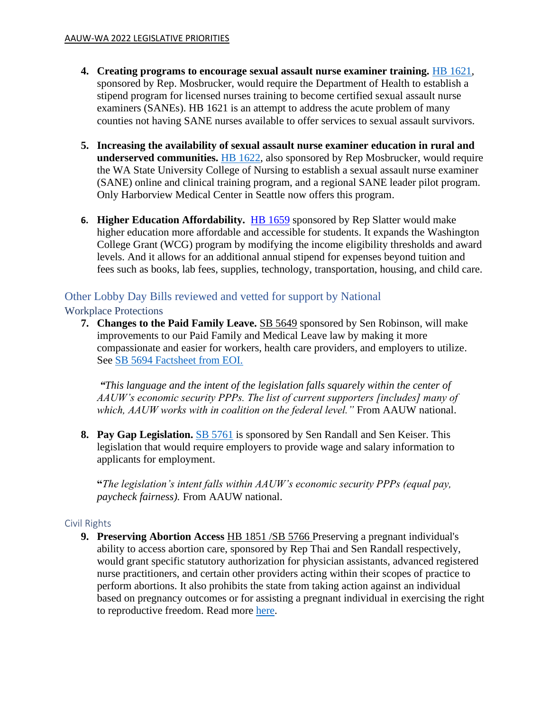- **4. Creating programs to encourage sexual assault nurse examiner training.** [HB 1621,](https://app.leg.wa.gov/billsummary?BillNumber=1621&Year=2021&Initiative=false) sponsored by Rep. Mosbrucker, would require the Department of Health to establish a stipend program for licensed nurses training to become certified sexual assault nurse examiners (SANEs). HB 1621 is an attempt to address the acute problem of many counties not having SANE nurses available to offer services to sexual assault survivors.
- **5. Increasing the availability of sexual assault nurse examiner education in rural and underserved communities.** [HB 1622,](https://app.leg.wa.gov/billsummary?BillNumber=1622&Initiative=false&Year=2021) also sponsored by Rep Mosbrucker, would require the WA State University College of Nursing to establish a sexual assault nurse examiner (SANE) online and clinical training program, and a regional SANE leader pilot program. Only Harborview Medical Center in Seattle now offers this program.
- **6. Higher Education Affordability.** [HB 1659](https://app.leg.wa.gov/billsummary?billnumber=1659&year=2022) sponsored by Rep Slatter would make higher education more affordable and accessible for students. It expands the Washington College Grant (WCG) program by modifying the income eligibility thresholds and award levels. And it allows for an additional annual stipend for expenses beyond tuition and fees such as books, lab fees, supplies, technology, transportation, housing, and child care.

## Other Lobby Day Bills reviewed and vetted for support by National Workplace Protections

**7. Changes to the Paid Family Leave.** [SB 5649](https://app.leg.wa.gov/billsummary?BillNumber=5649&Year=2021&Initiative=false) sponsored by Sen Robinson, will make improvements to our Paid Family and Medical Leave law by making it more compassionate and easier for workers, health care providers, and employers to utilize. See [SB 5694 Factsheet from EOI.](http://www.opportunityinstitute.org/wp-content/uploads/2022/01/SB-5649-Factsheet-v2.pdf)

*"This language and the intent of the legislation falls squarely within the center of AAUW's economic security PPPs. The list of current supporters [includes] many of which, AAUW works with in coalition on the federal level."* From AAUW national.

**8. Pay Gap Legislation.** [SB 5761](https://app.leg.wa.gov/billsummary?BillNumber=5761&Initiative=false&Year=2021) is sponsored by Sen Randall and Sen Keiser. This legislation that would require employers to provide wage and salary information to applicants for employment.

**"***The legislation's intent falls within AAUW's economic security PPPs (equal pay, paycheck fairness).* From AAUW national.

## Civil Rights

**9. Preserving Abortion Access** [HB 1851](https://app.leg.wa.gov/billsummary?BillNumber=1851&Initiative=false&Year=2021) [/SB 5766](https://app.leg.wa.gov/billsummary?BillNumber=5766&Chamber=Senate&Year=2021) Preserving a pregnant individual's ability to access abortion care, sponsored by Rep Thai and Sen Randall respectively, would grant specific statutory authorization for physician assistants, advanced registered nurse practitioners, and certain other providers acting within their scopes of practice to perform abortions. It also prohibits the state from taking action against an individual based on pregnancy outcomes or for assisting a pregnant individual in exercising the right to reproductive freedom. Read more [here.](https://lawfilesext.leg.wa.gov/biennium/2021-22/Pdf/Bill%20Reports/House/1851%20HBA%20HCW%2022.pdf?q=20220119162156)